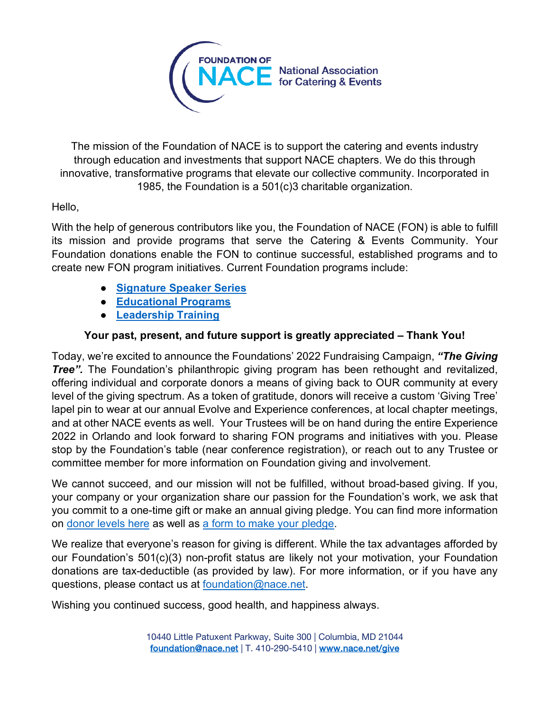

The mission of the Foundation of NACE is to support the catering and events industry through education and investments that support NACE chapters. We do this through innovative, transformative programs that elevate our collective community. Incorporated in 1985, the Foundation is a 501(c)3 charitable organization.

## Hello,

With the help of generous contributors like you, the Foundation of NACE (FON) is able to fulfill its mission and provide programs that serve the Catering & Events Community. Your Foundation donations enable the FON to continue successful, established programs and to create new FON program initiatives. Current Foundation programs include:

- **[Signature Speaker Series](https://www.nace.net/foundation-program/signature-speaker-series)**
- **[Educational Programs](https://www.nace.net/events)**
- **[Leadership Training](https://www.nace.net/evolve-conference)**

## **Your past, present, and future support is greatly appreciated – Thank You!**

Today, we're excited to announce the Foundations' 2022 Fundraising Campaign, *"The Giving*  **Tree".** The Foundation's philanthropic giving program has been rethought and revitalized, offering individual and corporate donors a means of giving back to OUR community at every level of the giving spectrum. As a token of gratitude, donors will receive a custom 'Giving Tree' lapel pin to wear at our annual Evolve and Experience conferences, at local chapter meetings, and at other NACE events as well. Your Trustees will be on hand during the entire Experience 2022 in Orlando and look forward to sharing FON programs and initiatives with you. Please stop by the Foundation's table (near conference registration), or reach out to any Trustee or committee member for more information on Foundation giving and involvement.

We cannot succeed, and our mission will not be fulfilled, without broad-based giving. If you, your company or your organization share our passion for the Foundation's work, we ask that you commit to a one-time gift or make an annual giving pledge. You can find more information on [donor levels here](https://www.nace.net/sites/default/files/content-files/FON/New%20Donor%20Recognition%20Levels%202022.pdf) as well as [a form to make your pledge.](https://www.nace.net/sites/default/files/content-files/FON/FON%20Pledge%20form.docx)

We realize that everyone's reason for giving is different. While the tax advantages afforded by our Foundation's 501(c)(3) non-profit status are likely not your motivation, your Foundation donations are tax-deductible (as provided by law). For more information, or if you have any questions, please contact us at [foundation@nace.net.](mailto:foundation@nace.net)

Wishing you continued success, good health, and happiness always.